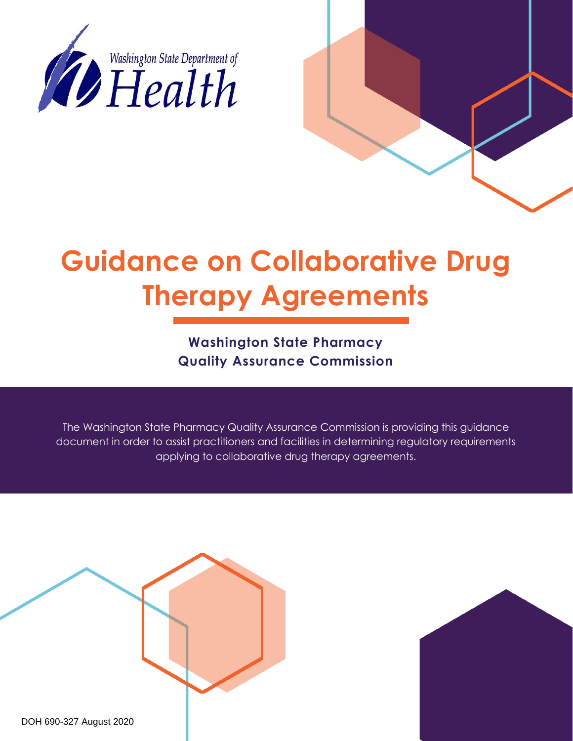

# **Guidance on Collaborative Drug Therapy Agreements**

**Washington State Pharmacy Quality Assurance Commission** 

The Washington State Pharmacy Quality Assurance Commission is providing this guidance document in order to assist practitioners and facilities in determining regulatory requirements applying to collaborative drug therapy agreements.



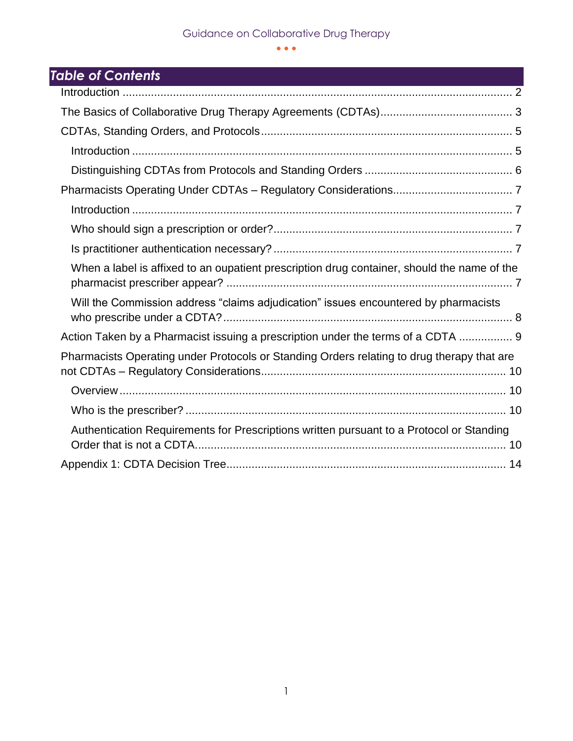# Guidance on Collaborative Drug Therapy

 $\bullet$   $\bullet$   $\bullet$ 

# *Table of Contents*

| When a label is affixed to an oupatient prescription drug container, should the name of the |
|---------------------------------------------------------------------------------------------|
| Will the Commission address "claims adjudication" issues encountered by pharmacists         |
| Action Taken by a Pharmacist issuing a prescription under the terms of a CDTA  9            |
| Pharmacists Operating under Protocols or Standing Orders relating to drug therapy that are  |
|                                                                                             |
|                                                                                             |
| Authentication Requirements for Prescriptions written pursuant to a Protocol or Standing    |
|                                                                                             |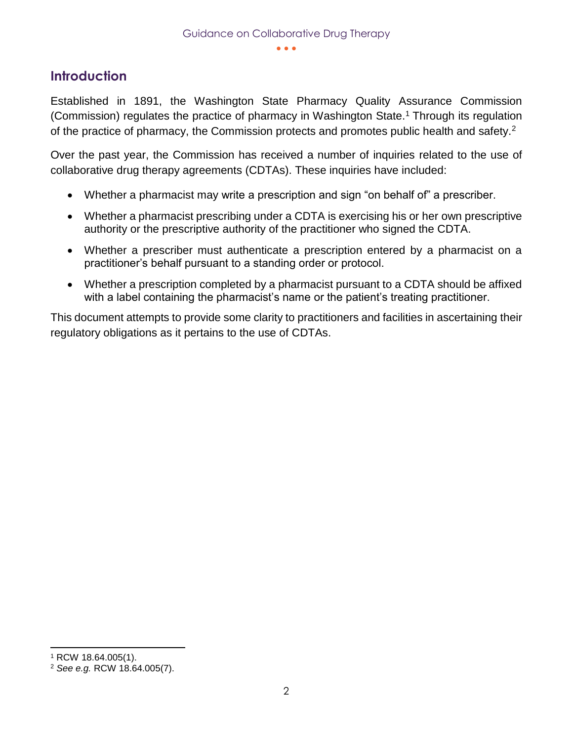# <span id="page-2-0"></span>**Introduction**

Established in 1891, the Washington State Pharmacy Quality Assurance Commission (Commission) regulates the practice of pharmacy in Washington State.<sup>1</sup> Through its regulation of the practice of pharmacy, the Commission protects and promotes public health and safety.<sup>2</sup>

Over the past year, the Commission has received a number of inquiries related to the use of collaborative drug therapy agreements (CDTAs). These inquiries have included:

- Whether a pharmacist may write a prescription and sign "on behalf of" a prescriber.
- Whether a pharmacist prescribing under a CDTA is exercising his or her own prescriptive authority or the prescriptive authority of the practitioner who signed the CDTA.
- Whether a prescriber must authenticate a prescription entered by a pharmacist on a practitioner's behalf pursuant to a standing order or protocol.
- Whether a prescription completed by a pharmacist pursuant to a CDTA should be affixed with a label containing the pharmacist's name or the patient's treating practitioner.

This document attempts to provide some clarity to practitioners and facilities in ascertaining their regulatory obligations as it pertains to the use of CDTAs.

<sup>1</sup> RCW 18.64.005(1).

<sup>2</sup> *See e.g.* RCW 18.64.005(7).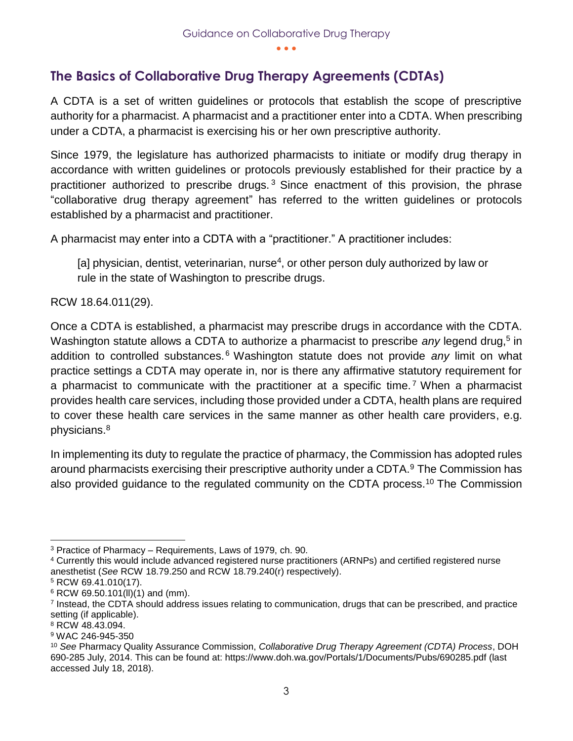# <span id="page-3-0"></span>**The Basics of Collaborative Drug Therapy Agreements (CDTAs)**

A CDTA is a set of written guidelines or protocols that establish the scope of prescriptive authority for a pharmacist. A pharmacist and a practitioner enter into a CDTA. When prescribing under a CDTA, a pharmacist is exercising his or her own prescriptive authority.

Since 1979, the legislature has authorized pharmacists to initiate or modify drug therapy in accordance with written guidelines or protocols previously established for their practice by a practitioner authorized to prescribe drugs.<sup>3</sup> Since enactment of this provision, the phrase "collaborative drug therapy agreement" has referred to the written guidelines or protocols established by a pharmacist and practitioner.

A pharmacist may enter into a CDTA with a "practitioner." A practitioner includes:

[a] physician, dentist, veterinarian, nurse<sup>4</sup>, or other person duly authorized by law or rule in the state of Washington to prescribe drugs.

RCW 18.64.011(29).

Once a CDTA is established, a pharmacist may prescribe drugs in accordance with the CDTA. Washington statute allows a CDTA to authorize a pharmacist to prescribe any legend drug,<sup>5</sup> in addition to controlled substances. <sup>6</sup> Washington statute does not provide *any* limit on what practice settings a CDTA may operate in, nor is there any affirmative statutory requirement for a pharmacist to communicate with the practitioner at a specific time.<sup>7</sup> When a pharmacist provides health care services, including those provided under a CDTA, health plans are required to cover these health care services in the same manner as other health care providers, e.g. physicians.<sup>8</sup>

In implementing its duty to regulate the practice of pharmacy, the Commission has adopted rules around pharmacists exercising their prescriptive authority under a CDTA.<sup>9</sup> The Commission has also provided guidance to the regulated community on the CDTA process.<sup>10</sup> The Commission

 $\overline{a}$ 

<sup>3</sup> Practice of Pharmacy – Requirements, Laws of 1979, ch. 90.

<sup>4</sup> Currently this would include advanced registered nurse practitioners (ARNPs) and certified registered nurse anesthetist (*See* RCW 18.79.250 and RCW 18.79.240(r) respectively).

<sup>5</sup> RCW 69.41.010(17).

 $6$  RCW 69.50.101(II)(1) and (mm).

<sup>7</sup> Instead, the CDTA should address issues relating to communication, drugs that can be prescribed, and practice setting (if applicable).

<sup>8</sup> RCW 48.43.094.

<sup>9</sup> WAC 246-945-350

<sup>10</sup> *See* Pharmacy Quality Assurance Commission, *Collaborative Drug Therapy Agreement (CDTA) Process*, DOH 690-285 July, 2014. This can be found at: https://www.doh.wa.gov/Portals/1/Documents/Pubs/690285.pdf (last accessed July 18, 2018).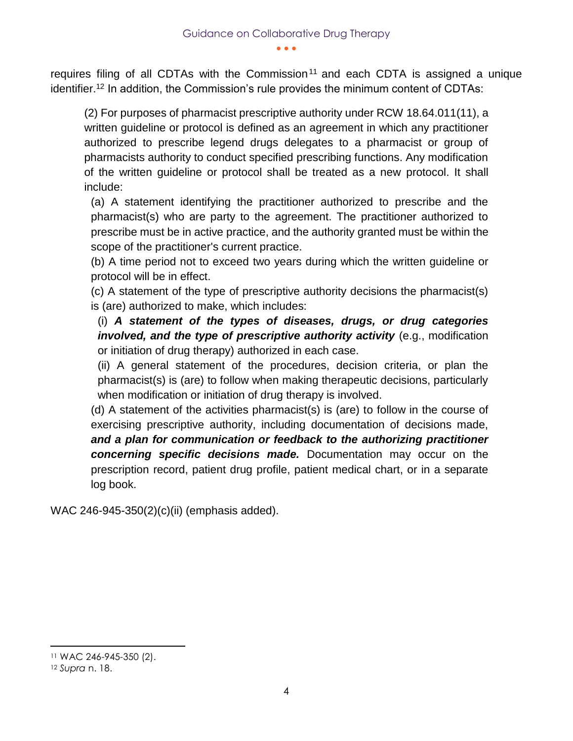requires filing of all CDTAs with the Commission<sup>11</sup> and each CDTA is assigned a unique identifier.<sup>12</sup> In addition, the Commission's rule provides the minimum content of CDTAs:

(2) For purposes of pharmacist prescriptive authority under RCW 18.64.011(11), a written guideline or protocol is defined as an agreement in which any practitioner authorized to prescribe legend drugs delegates to a pharmacist or group of pharmacists authority to conduct specified prescribing functions. Any modification of the written guideline or protocol shall be treated as a new protocol. It shall include:

(a) A statement identifying the practitioner authorized to prescribe and the pharmacist(s) who are party to the agreement. The practitioner authorized to prescribe must be in active practice, and the authority granted must be within the scope of the practitioner's current practice.

(b) A time period not to exceed two years during which the written guideline or protocol will be in effect.

(c) A statement of the type of prescriptive authority decisions the pharmacist(s) is (are) authorized to make, which includes:

(i) *A statement of the types of diseases, drugs, or drug categories involved, and the type of prescriptive authority activity* (e.g., modification or initiation of drug therapy) authorized in each case.

(ii) A general statement of the procedures, decision criteria, or plan the pharmacist(s) is (are) to follow when making therapeutic decisions, particularly when modification or initiation of drug therapy is involved.

(d) A statement of the activities pharmacist(s) is (are) to follow in the course of exercising prescriptive authority, including documentation of decisions made, *and a plan for communication or feedback to the authorizing practitioner concerning specific decisions made.* Documentation may occur on the prescription record, patient drug profile, patient medical chart, or in a separate log book.

WAC 246-945-350(2)(c)(ii) (emphasis added).

<sup>11</sup> WAC 246-945-350 (2).

<sup>12</sup> *Supra* n. 18.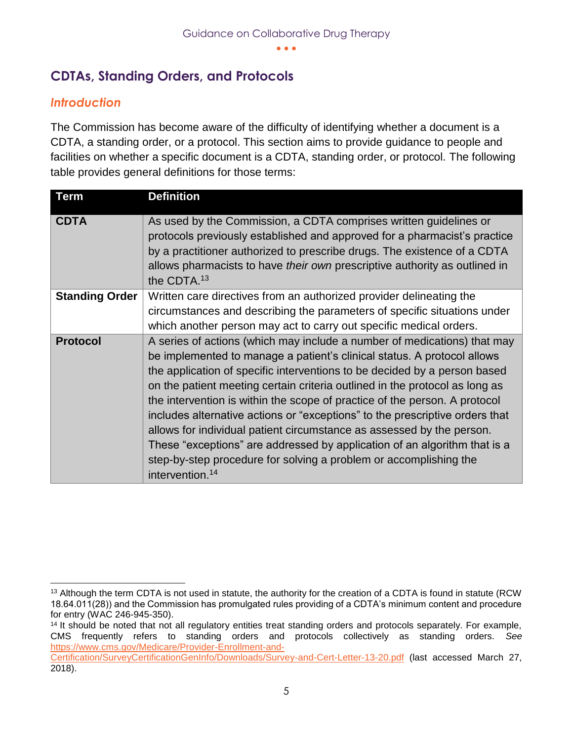# <span id="page-5-0"></span>**CDTAs, Standing Orders, and Protocols**

#### <span id="page-5-1"></span>*Introduction*

The Commission has become aware of the difficulty of identifying whether a document is a CDTA, a standing order, or a protocol. This section aims to provide guidance to people and facilities on whether a specific document is a CDTA, standing order, or protocol. The following table provides general definitions for those terms:

| <b>Term</b>           | <b>Definition</b>                                                                                                                                                                                                                                                                                                                                                                                                                                                                                                                                                                                                                                                                                                                       |
|-----------------------|-----------------------------------------------------------------------------------------------------------------------------------------------------------------------------------------------------------------------------------------------------------------------------------------------------------------------------------------------------------------------------------------------------------------------------------------------------------------------------------------------------------------------------------------------------------------------------------------------------------------------------------------------------------------------------------------------------------------------------------------|
| <b>CDTA</b>           | As used by the Commission, a CDTA comprises written guidelines or<br>protocols previously established and approved for a pharmacist's practice<br>by a practitioner authorized to prescribe drugs. The existence of a CDTA<br>allows pharmacists to have their own prescriptive authority as outlined in<br>the CDTA. <sup>13</sup>                                                                                                                                                                                                                                                                                                                                                                                                     |
| <b>Standing Order</b> | Written care directives from an authorized provider delineating the<br>circumstances and describing the parameters of specific situations under<br>which another person may act to carry out specific medical orders.                                                                                                                                                                                                                                                                                                                                                                                                                                                                                                                   |
| <b>Protocol</b>       | A series of actions (which may include a number of medications) that may<br>be implemented to manage a patient's clinical status. A protocol allows<br>the application of specific interventions to be decided by a person based<br>on the patient meeting certain criteria outlined in the protocol as long as<br>the intervention is within the scope of practice of the person. A protocol<br>includes alternative actions or "exceptions" to the prescriptive orders that<br>allows for individual patient circumstance as assessed by the person.<br>These "exceptions" are addressed by application of an algorithm that is a<br>step-by-step procedure for solving a problem or accomplishing the<br>intervention. <sup>14</sup> |

 <sup>13</sup> Although the term CDTA is not used in statute, the authority for the creation of a CDTA is found in statute (RCW 18.64.011(28)) and the Commission has promulgated rules providing of a CDTA's minimum content and procedure for entry (WAC 246-945-350).

<sup>&</sup>lt;sup>14</sup> It should be noted that not all regulatory entities treat standing orders and protocols separately. For example, CMS frequently refers to standing orders and protocols collectively as standing orders. *See* [https://www.cms.gov/Medicare/Provider-Enrollment-and-](https://www.cms.gov/Medicare/Provider-Enrollment-and-Certification/SurveyCertificationGenInfo/Downloads/Survey-and-Cert-Letter-13-20.pdf)

[Certification/SurveyCertificationGenInfo/Downloads/Survey-and-Cert-Letter-13-20.pdf](https://www.cms.gov/Medicare/Provider-Enrollment-and-Certification/SurveyCertificationGenInfo/Downloads/Survey-and-Cert-Letter-13-20.pdf) (last accessed March 27, 2018).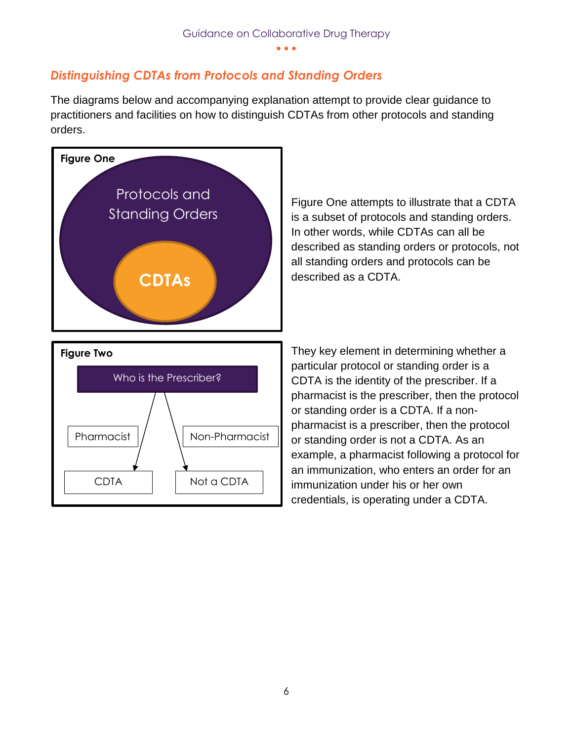### <span id="page-6-0"></span>*Distinguishing CDTAs from Protocols and Standing Orders*

The diagrams below and accompanying explanation attempt to provide clear guidance to practitioners and facilities on how to distinguish CDTAs from other protocols and standing orders.



CDTA | Not a CDTA

Figure One attempts to illustrate that a CDTA is a subset of protocols and standing orders. In other words, while CDTAs can all be described as standing orders or protocols, not all standing orders and protocols can be described as a CDTA.

They key element in determining whether a particular protocol or standing order is a CDTA is the identity of the prescriber. If a pharmacist is the prescriber, then the protocol or standing order is a CDTA. If a nonpharmacist is a prescriber, then the protocol or standing order is not a CDTA. As an example, a pharmacist following a protocol for an immunization, who enters an order for an immunization under his or her own credentials, is operating under a CDTA.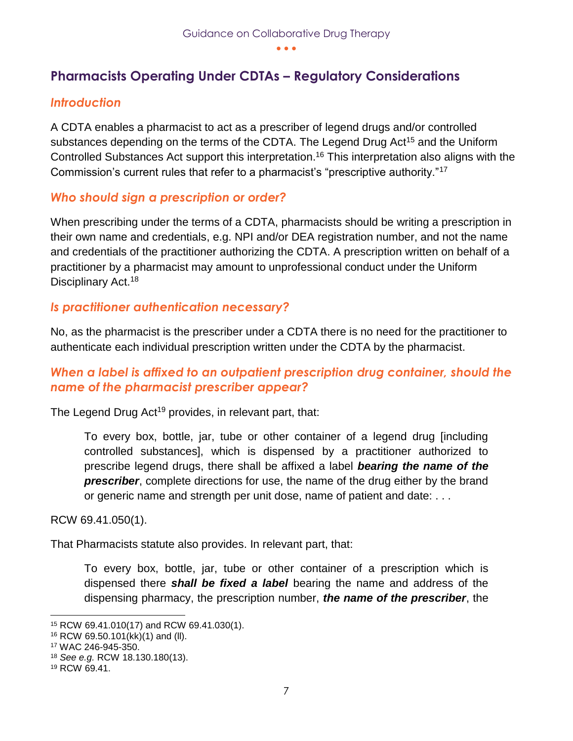# <span id="page-7-0"></span>**Pharmacists Operating Under CDTAs – Regulatory Considerations**

#### <span id="page-7-1"></span>*Introduction*

A CDTA enables a pharmacist to act as a prescriber of legend drugs and/or controlled substances depending on the terms of the CDTA. The Legend Drug Act<sup>15</sup> and the Uniform Controlled Substances Act support this interpretation.<sup>16</sup> This interpretation also aligns with the Commission's current rules that refer to a pharmacist's "prescriptive authority."<sup>17</sup>

#### <span id="page-7-2"></span>*Who should sign a prescription or order?*

When prescribing under the terms of a CDTA, pharmacists should be writing a prescription in their own name and credentials, e.g. NPI and/or DEA registration number, and not the name and credentials of the practitioner authorizing the CDTA. A prescription written on behalf of a practitioner by a pharmacist may amount to unprofessional conduct under the Uniform Disciplinary Act.<sup>18</sup>

#### <span id="page-7-3"></span>*Is practitioner authentication necessary?*

No, as the pharmacist is the prescriber under a CDTA there is no need for the practitioner to authenticate each individual prescription written under the CDTA by the pharmacist.

#### <span id="page-7-4"></span>*When a label is affixed to an outpatient prescription drug container, should the name of the pharmacist prescriber appear?*

The Legend Drug Act<sup>19</sup> provides, in relevant part, that:

To every box, bottle, jar, tube or other container of a legend drug [including controlled substances], which is dispensed by a practitioner authorized to prescribe legend drugs, there shall be affixed a label *bearing the name of the prescriber*, complete directions for use, the name of the drug either by the brand or generic name and strength per unit dose, name of patient and date: . . .

RCW 69.41.050(1).

That Pharmacists statute also provides. In relevant part, that:

To every box, bottle, jar, tube or other container of a prescription which is dispensed there *shall be fixed a label* bearing the name and address of the dispensing pharmacy, the prescription number, *the name of the prescriber*, the

<sup>15</sup> RCW 69.41.010(17) and RCW 69.41.030(1).

<sup>16</sup> RCW 69.50.101(kk)(1) and (ll).

<sup>17</sup> WAC 246-945-350.

<sup>18</sup> *See e.g.* RCW 18.130.180(13).

<sup>19</sup> RCW 69.41.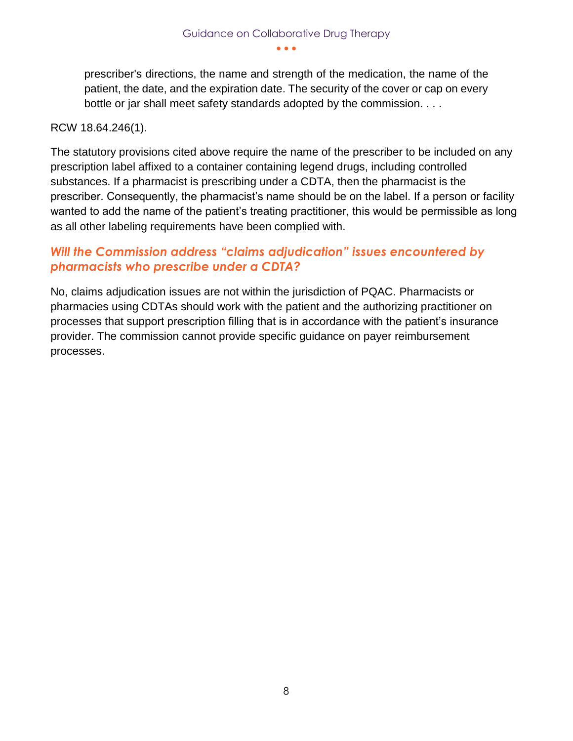prescriber's directions, the name and strength of the medication, the name of the patient, the date, and the expiration date. The security of the cover or cap on every bottle or jar shall meet safety standards adopted by the commission. . . .

#### RCW 18.64.246(1).

The statutory provisions cited above require the name of the prescriber to be included on any prescription label affixed to a container containing legend drugs, including controlled substances. If a pharmacist is prescribing under a CDTA, then the pharmacist is the prescriber. Consequently, the pharmacist's name should be on the label. If a person or facility wanted to add the name of the patient's treating practitioner, this would be permissible as long as all other labeling requirements have been complied with.

#### <span id="page-8-0"></span>*Will the Commission address "claims adjudication" issues encountered by pharmacists who prescribe under a CDTA?*

No, claims adjudication issues are not within the jurisdiction of PQAC. Pharmacists or pharmacies using CDTAs should work with the patient and the authorizing practitioner on processes that support prescription filling that is in accordance with the patient's insurance provider. The commission cannot provide specific guidance on payer reimbursement processes.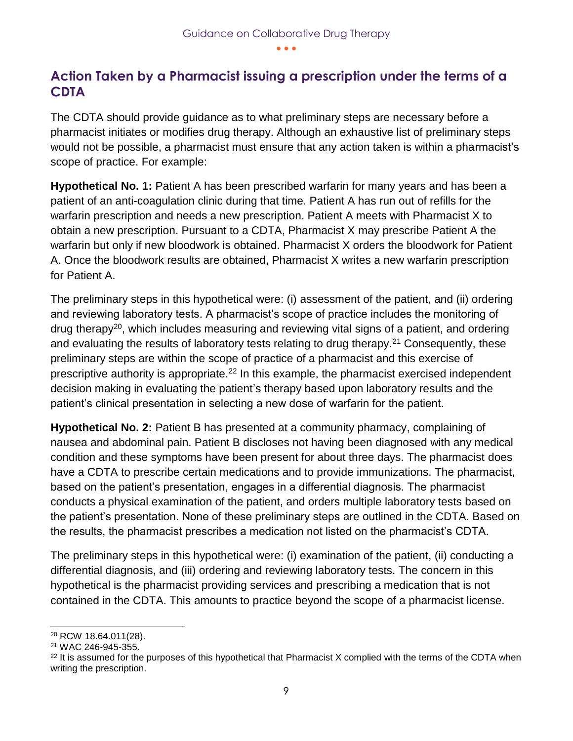# <span id="page-9-0"></span>**Action Taken by a Pharmacist issuing a prescription under the terms of a CDTA**

The CDTA should provide guidance as to what preliminary steps are necessary before a pharmacist initiates or modifies drug therapy. Although an exhaustive list of preliminary steps would not be possible, a pharmacist must ensure that any action taken is within a pharmacist's scope of practice. For example:

**Hypothetical No. 1:** Patient A has been prescribed warfarin for many years and has been a patient of an anti-coagulation clinic during that time. Patient A has run out of refills for the warfarin prescription and needs a new prescription. Patient A meets with Pharmacist X to obtain a new prescription. Pursuant to a CDTA, Pharmacist X may prescribe Patient A the warfarin but only if new bloodwork is obtained. Pharmacist X orders the bloodwork for Patient A. Once the bloodwork results are obtained, Pharmacist X writes a new warfarin prescription for Patient A.

The preliminary steps in this hypothetical were: (i) assessment of the patient, and (ii) ordering and reviewing laboratory tests. A pharmacist's scope of practice includes the monitoring of drug therapy<sup>20</sup>, which includes measuring and reviewing vital signs of a patient, and ordering and evaluating the results of laboratory tests relating to drug therapy.<sup>21</sup> Consequently, these preliminary steps are within the scope of practice of a pharmacist and this exercise of prescriptive authority is appropriate.<sup>22</sup> In this example, the pharmacist exercised independent decision making in evaluating the patient's therapy based upon laboratory results and the patient's clinical presentation in selecting a new dose of warfarin for the patient.

**Hypothetical No. 2:** Patient B has presented at a community pharmacy, complaining of nausea and abdominal pain. Patient B discloses not having been diagnosed with any medical condition and these symptoms have been present for about three days. The pharmacist does have a CDTA to prescribe certain medications and to provide immunizations. The pharmacist, based on the patient's presentation, engages in a differential diagnosis. The pharmacist conducts a physical examination of the patient, and orders multiple laboratory tests based on the patient's presentation. None of these preliminary steps are outlined in the CDTA. Based on the results, the pharmacist prescribes a medication not listed on the pharmacist's CDTA.

The preliminary steps in this hypothetical were: (i) examination of the patient, (ii) conducting a differential diagnosis, and (iii) ordering and reviewing laboratory tests. The concern in this hypothetical is the pharmacist providing services and prescribing a medication that is not contained in the CDTA. This amounts to practice beyond the scope of a pharmacist license.

 $\overline{a}$ <sup>20</sup> RCW 18.64.011(28).

<sup>21</sup> WAC 246-945-355.

 $22$  It is assumed for the purposes of this hypothetical that Pharmacist X complied with the terms of the CDTA when writing the prescription.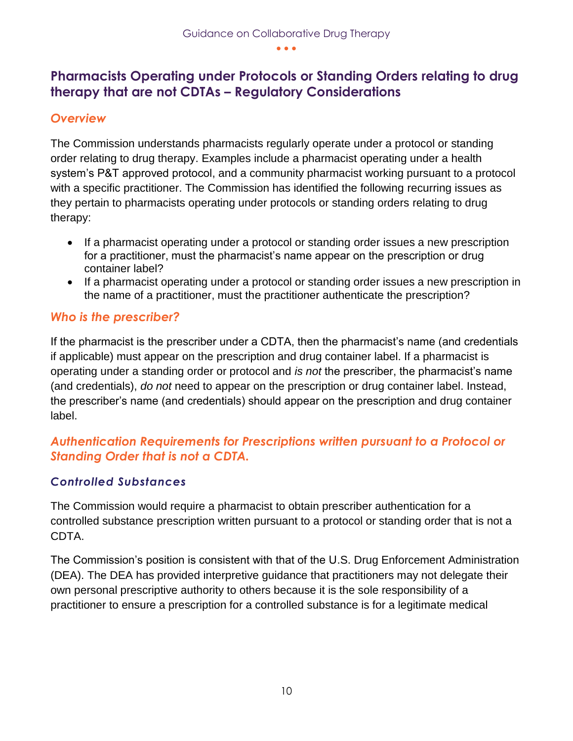# <span id="page-10-0"></span>**Pharmacists Operating under Protocols or Standing Orders relating to drug therapy that are not CDTAs – Regulatory Considerations**

#### <span id="page-10-1"></span>*Overview*

The Commission understands pharmacists regularly operate under a protocol or standing order relating to drug therapy. Examples include a pharmacist operating under a health system's P&T approved protocol, and a community pharmacist working pursuant to a protocol with a specific practitioner. The Commission has identified the following recurring issues as they pertain to pharmacists operating under protocols or standing orders relating to drug therapy:

- If a pharmacist operating under a protocol or standing order issues a new prescription for a practitioner, must the pharmacist's name appear on the prescription or drug container label?
- If a pharmacist operating under a protocol or standing order issues a new prescription in the name of a practitioner, must the practitioner authenticate the prescription?

#### <span id="page-10-2"></span>*Who is the prescriber?*

If the pharmacist is the prescriber under a CDTA, then the pharmacist's name (and credentials if applicable) must appear on the prescription and drug container label. If a pharmacist is operating under a standing order or protocol and *is not* the prescriber, the pharmacist's name (and credentials), *do not* need to appear on the prescription or drug container label. Instead, the prescriber's name (and credentials) should appear on the prescription and drug container label.

#### <span id="page-10-3"></span>*Authentication Requirements for Prescriptions written pursuant to a Protocol or Standing Order that is not a CDTA.*

#### *Controlled Substances*

The Commission would require a pharmacist to obtain prescriber authentication for a controlled substance prescription written pursuant to a protocol or standing order that is not a CDTA.

The Commission's position is consistent with that of the U.S. Drug Enforcement Administration (DEA). The DEA has provided interpretive guidance that practitioners may not delegate their own personal prescriptive authority to others because it is the sole responsibility of a practitioner to ensure a prescription for a controlled substance is for a legitimate medical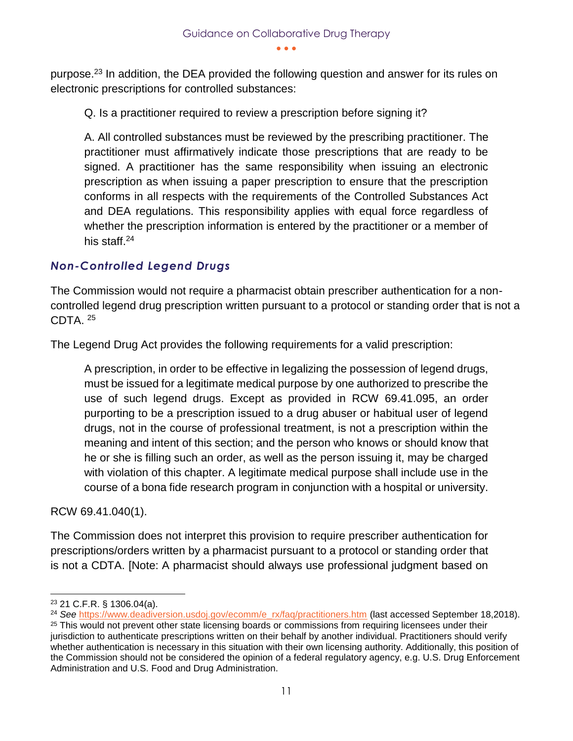purpose.<sup>23</sup> In addition, the DEA provided the following question and answer for its rules on electronic prescriptions for controlled substances:

Q. Is a practitioner required to review a prescription before signing it?

A. All controlled substances must be reviewed by the prescribing practitioner. The practitioner must affirmatively indicate those prescriptions that are ready to be signed. A practitioner has the same responsibility when issuing an electronic prescription as when issuing a paper prescription to ensure that the prescription conforms in all respects with the requirements of the Controlled Substances Act and DEA regulations. This responsibility applies with equal force regardless of whether the prescription information is entered by the practitioner or a member of his staff.<sup>24</sup>

#### *Non-Controlled Legend Drugs*

The Commission would not require a pharmacist obtain prescriber authentication for a noncontrolled legend drug prescription written pursuant to a protocol or standing order that is not a CDTA. <sup>25</sup>

The Legend Drug Act provides the following requirements for a valid prescription:

A prescription, in order to be effective in legalizing the possession of legend drugs, must be issued for a legitimate medical purpose by one authorized to prescribe the use of such legend drugs. Except as provided in RCW 69.41.095, an order purporting to be a prescription issued to a drug abuser or habitual user of legend drugs, not in the course of professional treatment, is not a prescription within the meaning and intent of this section; and the person who knows or should know that he or she is filling such an order, as well as the person issuing it, may be charged with violation of this chapter. A legitimate medical purpose shall include use in the course of a bona fide research program in conjunction with a hospital or university.

RCW 69.41.040(1).

The Commission does not interpret this provision to require prescriber authentication for prescriptions/orders written by a pharmacist pursuant to a protocol or standing order that is not a CDTA. [Note: A pharmacist should always use professional judgment based on

 <sup>23</sup> 21 C.F.R. § 1306.04(a).

<sup>&</sup>lt;sup>24</sup> See [https://www.deadiversion.usdoj.gov/ecomm/e\\_rx/faq/practitioners.htm](https://www.deadiversion.usdoj.gov/ecomm/e_rx/faq/practitioners.htm) (last accessed September 18,2018).

<sup>&</sup>lt;sup>25</sup> This would not prevent other state licensing boards or commissions from requiring licensees under their jurisdiction to authenticate prescriptions written on their behalf by another individual. Practitioners should verify whether authentication is necessary in this situation with their own licensing authority. Additionally, this position of the Commission should not be considered the opinion of a federal regulatory agency, e.g. U.S. Drug Enforcement Administration and U.S. Food and Drug Administration.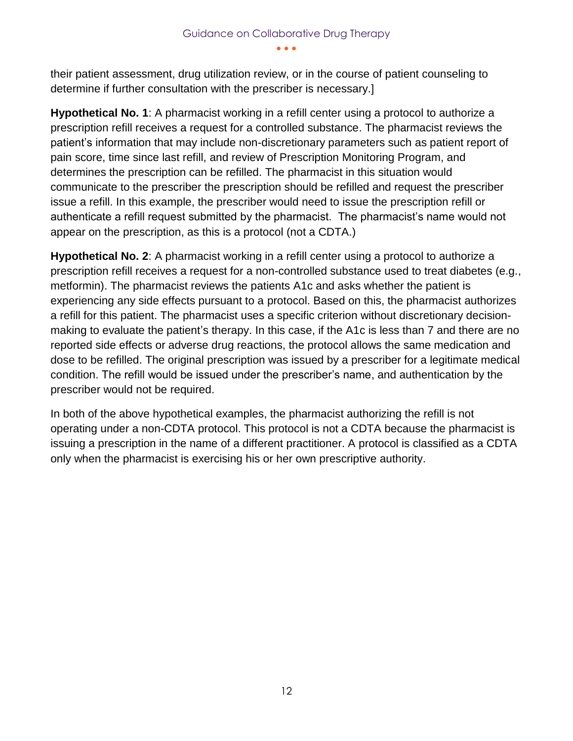their patient assessment, drug utilization review, or in the course of patient counseling to determine if further consultation with the prescriber is necessary.]

**Hypothetical No. 1**: A pharmacist working in a refill center using a protocol to authorize a prescription refill receives a request for a controlled substance. The pharmacist reviews the patient's information that may include non-discretionary parameters such as patient report of pain score, time since last refill, and review of Prescription Monitoring Program, and determines the prescription can be refilled. The pharmacist in this situation would communicate to the prescriber the prescription should be refilled and request the prescriber issue a refill. In this example, the prescriber would need to issue the prescription refill or authenticate a refill request submitted by the pharmacist. The pharmacist's name would not appear on the prescription, as this is a protocol (not a CDTA.)

**Hypothetical No. 2**: A pharmacist working in a refill center using a protocol to authorize a prescription refill receives a request for a non-controlled substance used to treat diabetes (e.g., metformin). The pharmacist reviews the patients A1c and asks whether the patient is experiencing any side effects pursuant to a protocol. Based on this, the pharmacist authorizes a refill for this patient. The pharmacist uses a specific criterion without discretionary decisionmaking to evaluate the patient's therapy. In this case, if the A1c is less than 7 and there are no reported side effects or adverse drug reactions, the protocol allows the same medication and dose to be refilled. The original prescription was issued by a prescriber for a legitimate medical condition. The refill would be issued under the prescriber's name, and authentication by the prescriber would not be required.

In both of the above hypothetical examples, the pharmacist authorizing the refill is not operating under a non-CDTA protocol. This protocol is not a CDTA because the pharmacist is issuing a prescription in the name of a different practitioner. A protocol is classified as a CDTA only when the pharmacist is exercising his or her own prescriptive authority.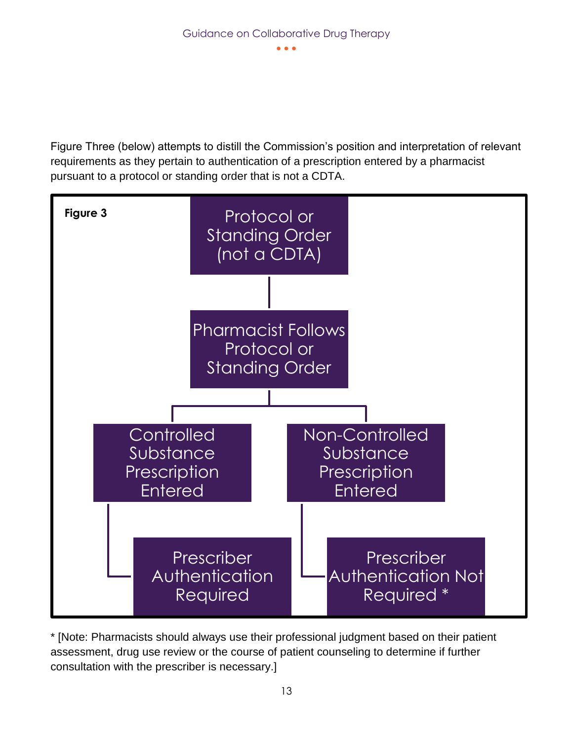Figure Three (below) attempts to distill the Commission's position and interpretation of relevant requirements as they pertain to authentication of a prescription entered by a pharmacist pursuant to a protocol or standing order that is not a CDTA.



\* [Note: Pharmacists should always use their professional judgment based on their patient assessment, drug use review or the course of patient counseling to determine if further consultation with the prescriber is necessary.]